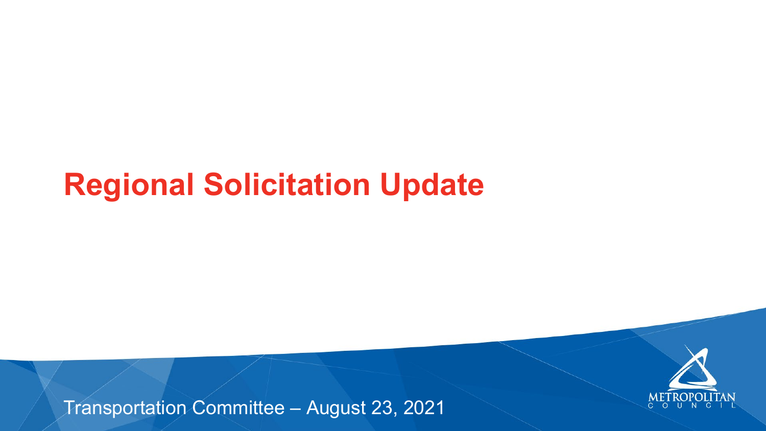### **Regional Solicitation Update**

### Transportation Committee – August 23, 2021



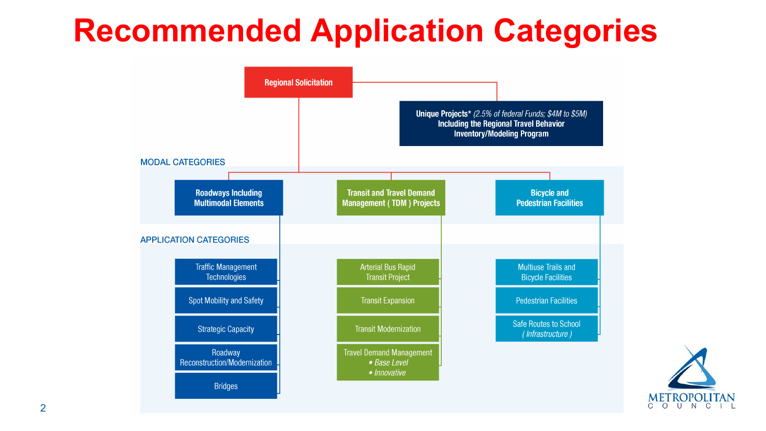

### **Recommended Application Categories**

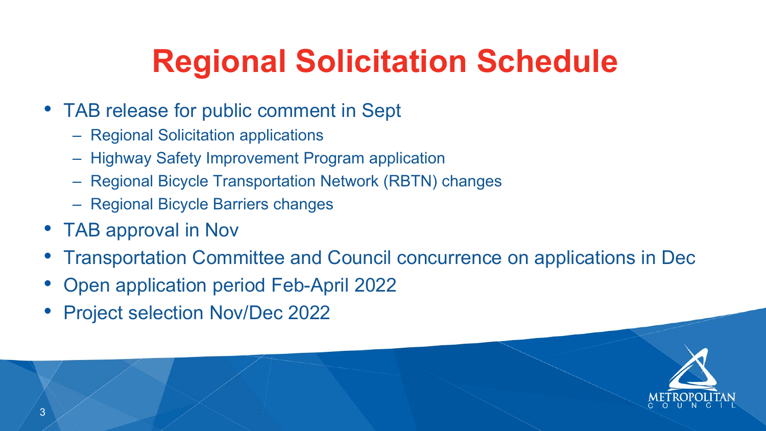

- TAB release for public comment in Sept
	- Regional Solicitation applications
	-
	- Highway Safety Improvement Program application – Regional Bicycle Transportation Network (RBTN) changes
	- Regional Bicycle Barriers changes
- TAB approval in Nov
- 
- Transportation Committee and Council concurrence on applications in Dec • Open application period Feb-April 2022
- Project selection Nov/Dec 2022

# **Regional Solicitation Schedule**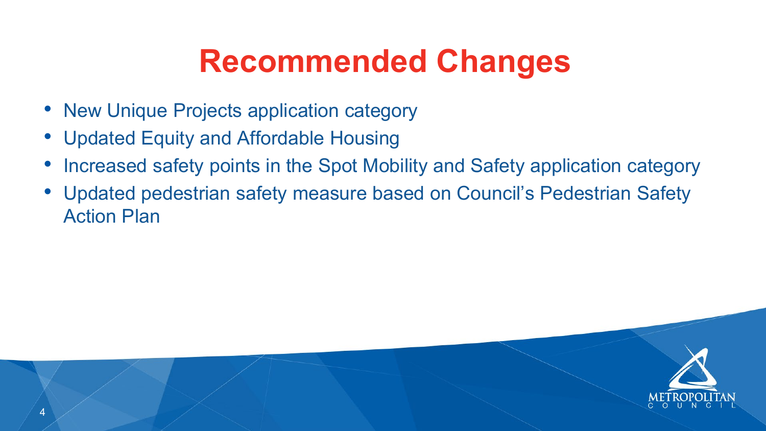



- New Unique Projects application category
- Updated Equity and Affordable Housing
- Increased safety points in the Spot Mobility and Safety application category
- Updated pedestrian safety measure based on Council's Pedestrian Safety Action Plan

## **Recommended Changes**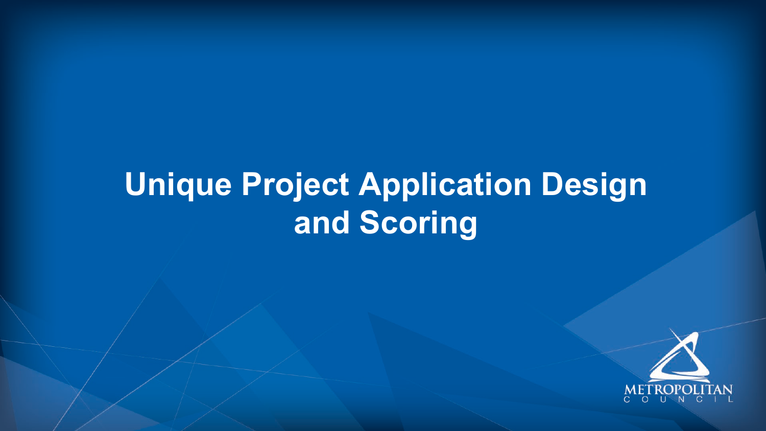## **Unique Project Application Design and Scoring**





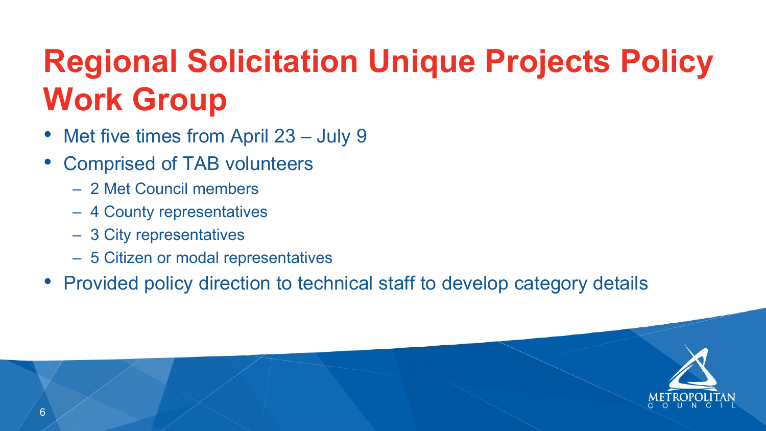

## **Regional Solicitation Unique Projects Policy Work Group**

- Met five times from April 23 July 9
- Comprised of TAB volunteers
	- 2 Met Council members
	- 4 County representatives
	- 3 City representatives
	- 5 Citizen or modal representatives
- Provided policy direction to technical staff to develop category details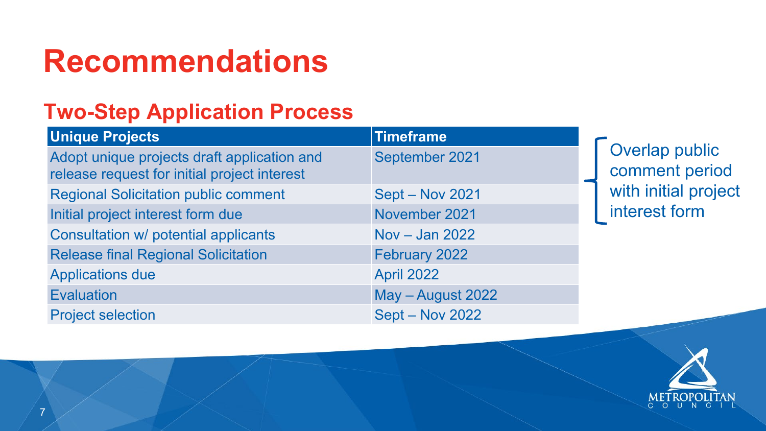

### **Two-Step Application Process**

Adopt unique projects draft application and release request for initial project interest Regional Solicitation public comment Sept – Nov 2021 Initial project interest form due November 2021 Consultation w/ potential applicants Nov – Jan 2022 Release final Regional Solicitation February 2022 Applications due April 2022 Evaluation May – August 2022 Project selection Sept – Nov 2022

### **Recommendations**

### **Unique Projects Timeframe**

September 2021

Overlap public comment period with initial project interest form



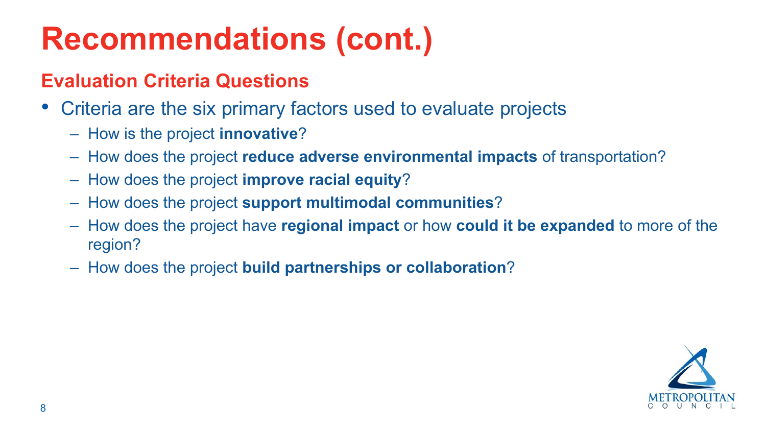



### **Recommendations (cont.)**

### **Evaluation Criteria Questions**

- Criteria are the six primary factors used to evaluate projects
	- How is the project **innovative**?
	- How does the project **reduce adverse environmental impacts** of transportation?
	- How does the project **improve racial equity**?
	- How does the project **support multimodal communities**?
	- How does the project have **regional impact** or how **could it be expanded** to more of the region?
	- How does the project **build partnerships or collaboration**?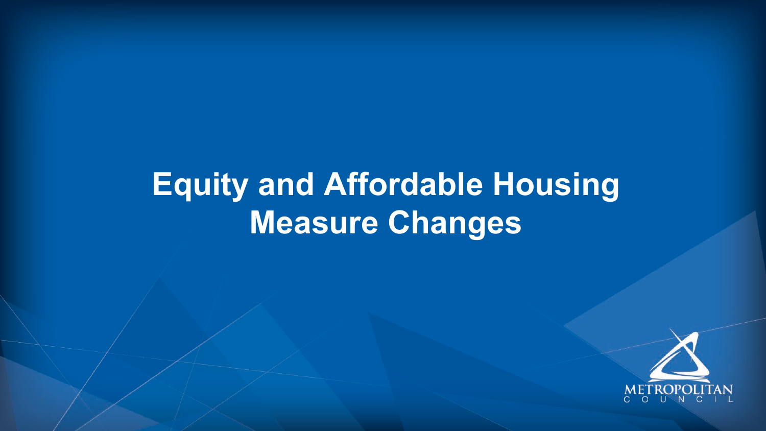### **Equity and Affordable Housing Measure Changes**



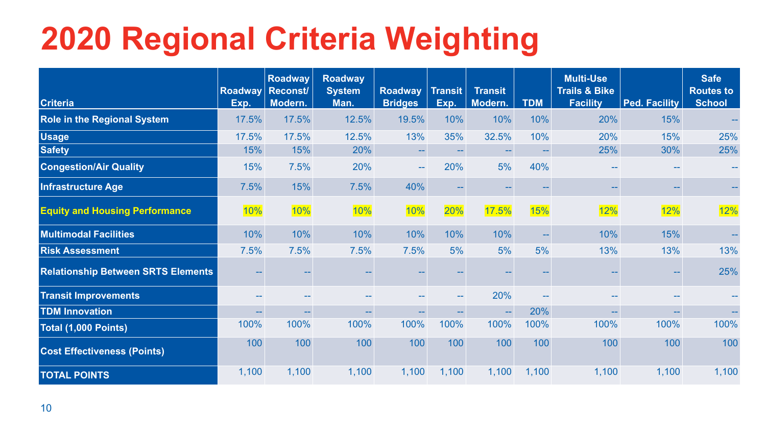# **2020 Regional Criteria Weighting**



| <b>Criteria</b>                           | Exp.  | <b>Roadway</b><br>Roadway Reconst/<br>Modern. | <b>Roadway</b><br><b>System</b><br>Man. | <b>Roadway</b><br><b>Bridges</b> | Transit<br>Exp. | <b>Transit</b><br>Modern. | <b>TDM</b>    | <b>Multi-Use</b><br><b>Trails &amp; Bike</b><br><b>Facility</b> | <b>Ped. Facility</b> | <b>Safe</b><br><b>Routes to</b><br><b>School</b> |
|-------------------------------------------|-------|-----------------------------------------------|-----------------------------------------|----------------------------------|-----------------|---------------------------|---------------|-----------------------------------------------------------------|----------------------|--------------------------------------------------|
| <b>Role in the Regional System</b>        | 17.5% | 17.5%                                         | 12.5%                                   | 19.5%                            | 10%             | 10%                       | 10%           | 20%                                                             | 15%                  | $\sim$ $\sim$                                    |
| <b>Usage</b>                              | 17.5% | 17.5%                                         | 12.5%                                   | 13%                              | 35%             | 32.5%                     | 10%           | 20%                                                             | 15%                  | 25%                                              |
| <b>Safety</b>                             | 15%   | 15%                                           | 20%                                     |                                  |                 | $\sim$                    | $\sim$ $\sim$ | 25%                                                             | 30%                  | 25%                                              |
| <b>Congestion/Air Quality</b>             | 15%   | 7.5%                                          | 20%                                     | $\sim$ $-$                       | 20%             | 5%                        | 40%           | <b>COLOR</b>                                                    |                      | $\sim$ $\sim$                                    |
| Infrastructure Age                        | 7.5%  | 15%                                           | 7.5%                                    | 40%                              |                 |                           |               |                                                                 |                      | $\rightarrow$                                    |
| <b>Equity and Housing Performance</b>     | 10%   | 10%                                           | 10%                                     | 10%                              | 20%             | 17.5%                     | 15%           | 12%                                                             | 12%                  | 12%                                              |
| <b>Multimodal Facilities</b>              | 10%   | 10%                                           | 10%                                     | 10%                              | 10%             | 10%                       | $\sim$ $\sim$ | 10%                                                             | 15%                  | $\sim$ $\sim$                                    |
| Risk Assessment                           | 7.5%  | 7.5%                                          | 7.5%                                    | 7.5%                             | 5%              | 5%                        | 5%            | 13%                                                             | 13%                  | 13%                                              |
| <b>Relationship Between SRTS Elements</b> |       |                                               |                                         |                                  |                 |                           |               |                                                                 |                      | 25%                                              |
| <b>Transit Improvements</b>               |       |                                               |                                         |                                  |                 | 20%                       | $\sim$ $\sim$ |                                                                 |                      | $\sim$ $\sim$                                    |
| <b>TDM Innovation</b>                     |       | $\sim$                                        |                                         |                                  |                 | $\sim$ $\sim$             | 20%           | <b>CONTRACTOR</b>                                               | $\sim$ $\sim$        | $\sim$ $\sim$                                    |
| Total (1,000 Points)                      | 100%  | 100%                                          | 100%                                    | 100%                             | 100%            | 100%                      | 100%          | 100%                                                            | 100%                 | 100%                                             |
| <b>Cost Effectiveness (Points)</b>        | 100   | 100                                           | 100                                     | 100                              | 100             | 100                       | 100           | 100                                                             | 100                  | 100                                              |
| <b>TOTAL POINTS</b>                       | 1,100 | 1,100                                         | 1,100                                   | 1,100                            | 1,100           | 1,100                     | 1,100         | 1,100                                                           | 1,100                | 1,100                                            |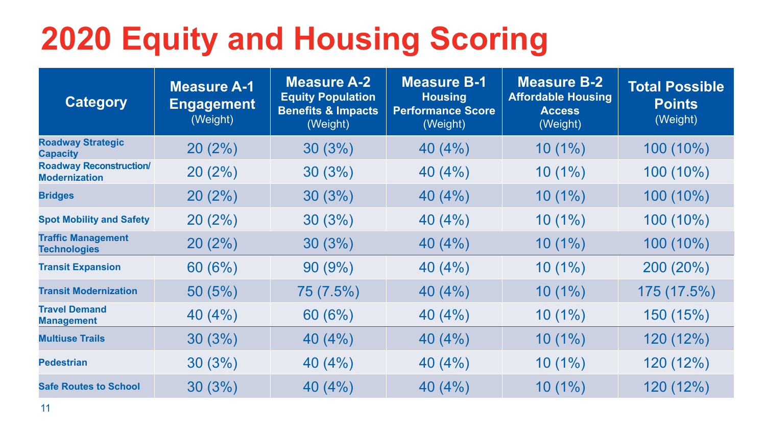

# **2020 Equity and Housing Scoring**

| <b>Category</b>                                        | <b>Measure A-1</b><br><b>Engagement</b><br>(Weight) | <b>Measure A-2</b><br><b>Equity Population</b><br>Benefits & Impacts<br>(Weight) | <b>Measure B-1</b><br><b>Housing</b><br><b>Performance Score</b><br>(Weight) | <b>Measure B-2</b><br><b>Affordable Housing</b><br><b>Access</b><br>(Weight) | Total Possible<br><b>Points</b><br>(Weight) |
|--------------------------------------------------------|-----------------------------------------------------|----------------------------------------------------------------------------------|------------------------------------------------------------------------------|------------------------------------------------------------------------------|---------------------------------------------|
| <b>Roadway Strategic</b><br><b>Capacity</b>            | 20(2%)                                              | 30(3%)                                                                           | 40(4%)                                                                       | $10(1\%)$                                                                    | 100 (10%)                                   |
| <b>Roadway Reconstruction/</b><br><b>Modernization</b> | 20(2%)                                              | 30(3%)                                                                           | 40(4%)                                                                       | $10(1\%)$                                                                    | 100 (10%)                                   |
| <b>Bridges</b>                                         | 20(2%)                                              | 30(3%)                                                                           | 40(4%)                                                                       | $10(1\%)$                                                                    | 100 (10%)                                   |
| <b>Spot Mobility and Safety</b>                        | 20(2%)                                              | 30(3%)                                                                           | 40(4%)                                                                       | $10(1\%)$                                                                    | 100 (10%)                                   |
| <b>Traffic Management</b><br><b>Technologies</b>       | 20(2%)                                              | 30(3%)                                                                           | 40(4%)                                                                       | $10(1\%)$                                                                    | 100 (10%)                                   |
| <b>Transit Expansion</b>                               | 60(6%)                                              | 90(9%)                                                                           | 40(4%)                                                                       | $10(1\%)$                                                                    | $200(20\%)$                                 |
| <b>Transit Modernization</b>                           | 50(5%)                                              | 75 (7.5%)                                                                        | 40(4%)                                                                       | $10(1\%)$                                                                    | 175 (17.5%)                                 |
| <b>Travel Demand</b><br><b>Management</b>              | 40(4%)                                              | 60(6%)                                                                           | 40(4%)                                                                       | $10(1\%)$                                                                    | 150 (15%)                                   |
| <b>Multiuse Trails</b>                                 | 30(3%)                                              | 40 (4%)                                                                          | 40(4%)                                                                       | $10(1\%)$                                                                    | 120 (12%)                                   |
| <b>Pedestrian</b>                                      | 30(3%)                                              | 40(4%)                                                                           | 40(4%)                                                                       | $10(1\%)$                                                                    | 120 (12%)                                   |
| <b>Safe Routes to School</b>                           | 30(3%)                                              | 40 (4%)                                                                          | 40(4%)                                                                       | $10(1\%)$                                                                    | 120 (12%)                                   |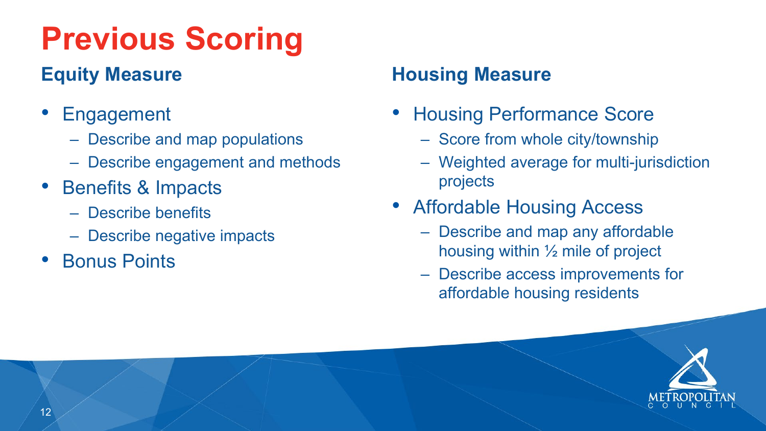### **Previous Scoring Equity Measure**

- **Engagement** 
	- Describe and map populations
	- Describe engagement and methods
- Benefits & Impacts
	- Describe benefits
	- Describe negative impacts
- Bonus Points

### **Housing Measure**

- Housing Performance Score
	- Score from whole city/township
	- Weighted average for multi-jurisdiction projects
- Affordable Housing Access
	- Describe and map any affordable housing within ½ mile of project
	- Describe access improvements for affordable housing residents

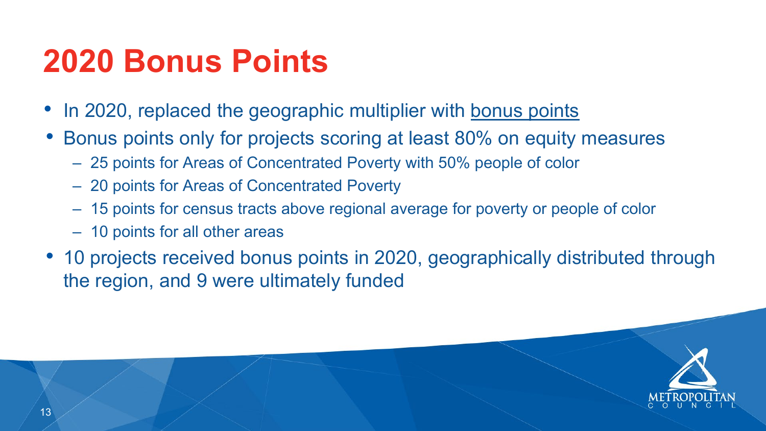• 10 projects received bonus points in 2020, geographically distributed through



### **2020 Bonus Points**

- In 2020, replaced the geographic multiplier with bonus points
- Bonus points only for projects scoring at least 80% on equity measures
	- 25 points for Areas of Concentrated Poverty with 50% people of color
	- 20 points for Areas of Concentrated Poverty
	- 15 points for census tracts above regional average for poverty or people of color
	- 10 points for all other areas
- the region, and 9 were ultimately funded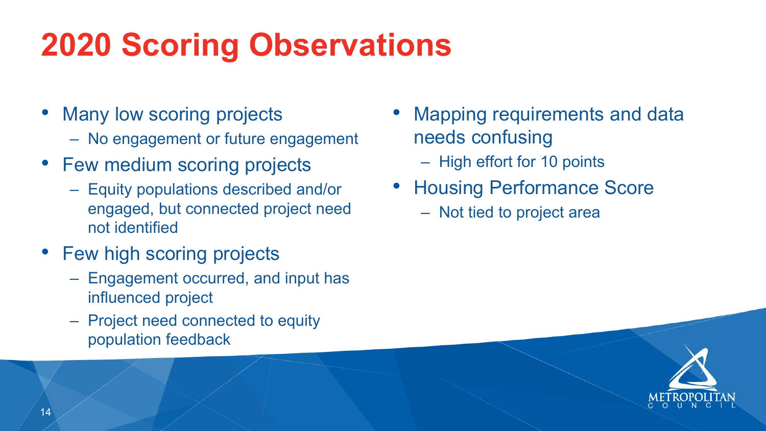## **2020 Scoring Observations**

- Many low scoring projects
	- No engagement or future engagement
- Few medium scoring projects
	- Equity populations described and/or engaged, but connected project need not identified
- Few high scoring projects
	- Engagement occurred, and input has influenced project
	- Project need connected to equity population feedback
- Mapping requirements and data needs confusing
	- High effort for 10 points
- Housing Performance Score
	- Not tied to project area



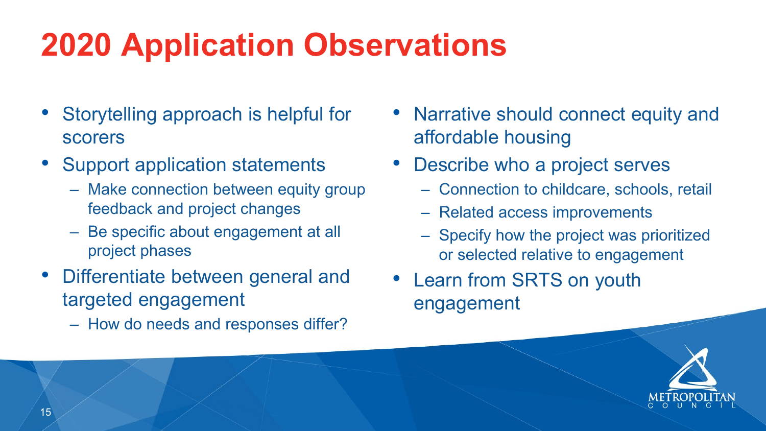# **2020 Application Observations**

- Storytelling approach is helpful for scorers
- Support application statements
	- Make connection between equity group feedback and project changes
	- Be specific about engagement at all project phases
- Differentiate between general and targeted engagement
	- How do needs and responses differ?
- Narrative should connect equity and affordable housing
- Describe who a project serves
	- Connection to childcare, schools, retail
	- Related access improvements
	- Specify how the project was prioritized or selected relative to engagement
- Learn from SRTS on youth engagement

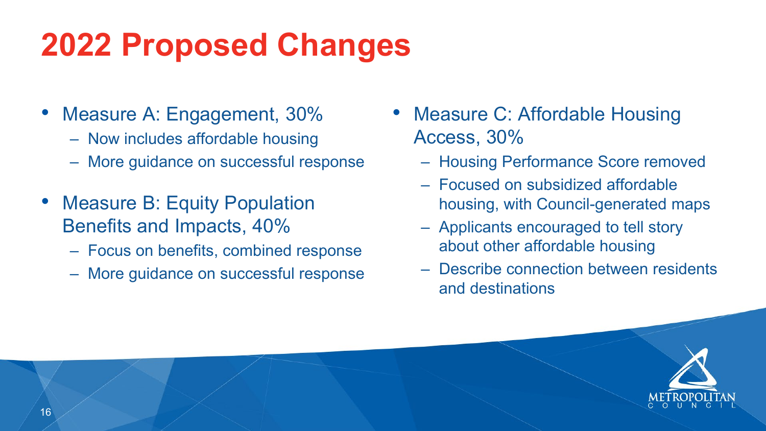## **2022 Proposed Changes**

- Measure A: Engagement, 30%
	- Now includes affordable housing
	- More guidance on successful response
- Measure B: Equity Population Benefits and Impacts, 40%
	- Focus on benefits, combined response
	- More guidance on successful response
- Measure C: Affordable Housing Access, 30%
	- Housing Performance Score removed
	- Focused on subsidized affordable housing, with Council-generated maps
	- Applicants encouraged to tell story about other affordable housing
	- Describe connection between residents and destinations



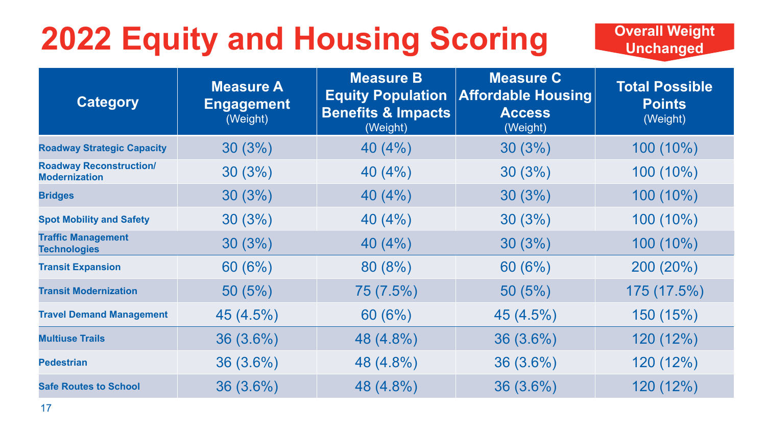# **2022 Equity and Housing Scoring**

### **Overall Weight Unchanged**



| <b>Category</b>                                        | <b>Measure A</b><br><b>Engagement</b><br>(Weight) | <b>Measure B</b><br><b>Benefits &amp; Impacts</b><br>(Weight) | <b>Measure C</b><br><b>Equity Population Affordable Housing</b><br><b>Access</b><br>(Weight) | <b>Total Possible</b><br><b>Points</b><br>(Weight) |
|--------------------------------------------------------|---------------------------------------------------|---------------------------------------------------------------|----------------------------------------------------------------------------------------------|----------------------------------------------------|
| <b>Roadway Strategic Capacity</b>                      | 30(3%)                                            | 40(4%)                                                        | 30(3%)                                                                                       | 100 (10%)                                          |
| <b>Roadway Reconstruction/</b><br><b>Modernization</b> | 30(3%)                                            | 40(4%)                                                        | 30(3%)                                                                                       | 100 (10%)                                          |
| <b>Bridges</b>                                         | 30(3%)                                            | 40(4%)                                                        | 30(3%)                                                                                       | 100 (10%)                                          |
| <b>Spot Mobility and Safety</b>                        | 30(3%)                                            | 40(4%)                                                        | 30(3%)                                                                                       | 100 (10%)                                          |
| <b>Traffic Management</b><br><b>Technologies</b>       | 30(3%)                                            | 40(4%)                                                        | 30(3%)                                                                                       | 100 (10%)                                          |
| <b>Transit Expansion</b>                               | 60(6%)                                            | 80(8%)                                                        | 60(6%)                                                                                       | 200 (20%)                                          |
| <b>Transit Modernization</b>                           | 50(5%)                                            | 75 (7.5%)                                                     | 50(5%)                                                                                       | 175 (17.5%)                                        |
| <b>Travel Demand Management</b>                        | 45(4.5%)                                          | 60(6%)                                                        | $45(4.5\%)$                                                                                  | 150 (15%)                                          |
| <b>Multiuse Trails</b>                                 | $36(3.6\%)$                                       | 48 (4.8%)                                                     | $36(3.6\%)$                                                                                  | 120(12%)                                           |
| <b>Pedestrian</b>                                      | $36(3.6\%)$                                       | 48 (4.8%)                                                     | $36(3.6\%)$                                                                                  | 120 (12%)                                          |
| <b>Safe Routes to School</b>                           | $36(3.6\%)$                                       | 48 (4.8%)                                                     | $36(3.6\%)$                                                                                  | 120 (12%)                                          |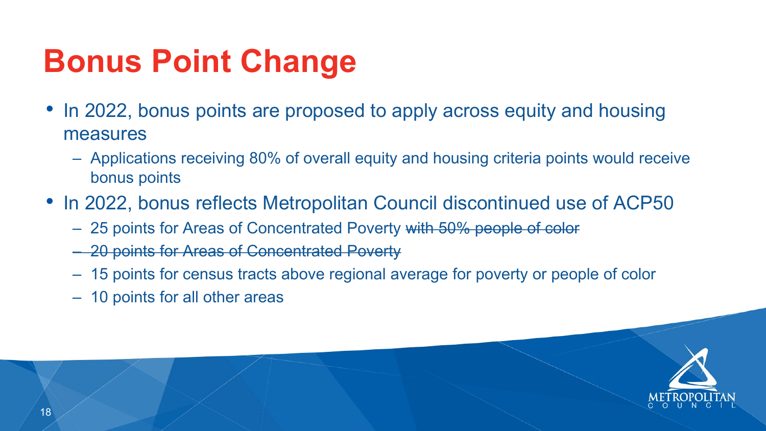



## **Bonus Point Change**

- In 2022, bonus points are proposed to apply across equity and housing measures
	- Applications receiving 80% of overall equity and housing criteria points would receive bonus points
- In 2022, bonus reflects Metropolitan Council discontinued use of ACP50 – 25 points for Areas of Concentrated Poverty with 50% people of color
	-
	- 20 points for Areas of Concentrated Poverty
	- 15 points for census tracts above regional average for poverty or people of color
	- 10 points for all other areas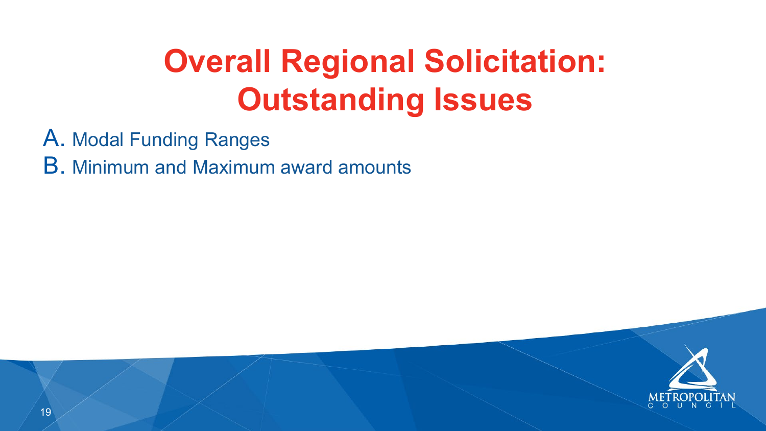



### A. Modal Funding Ranges B. Minimum and Maximum award amounts

## **Overall Regional Solicitation: Outstanding Issues**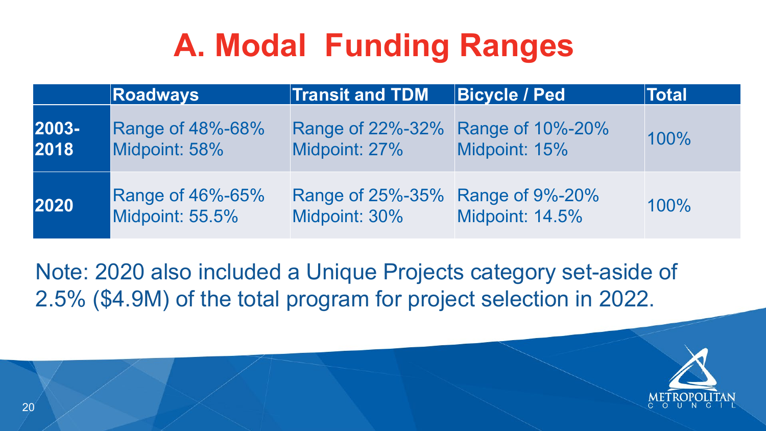





## **A. Modal Funding Ranges**

|               | <b>Roadways</b>                            | <b>Transit and TDM</b>                             | <b>Bicycle / Ped</b>   | <b>Total</b> |
|---------------|--------------------------------------------|----------------------------------------------------|------------------------|--------------|
| 2003-<br>2018 | <b>Range of 48%-68%</b><br>Midpoint: 58%   | Range of 22%-32% Range of 10%-20%<br>Midpoint: 27% | Midpoint: 15%          | 100%         |
| 2020          | <b>Range of 46%-65%</b><br>Midpoint: 55.5% | Range of 25%-35% Range of 9%-20%<br>Midpoint: 30%  | <b>Midpoint: 14.5%</b> | 100%         |

Note: 2020 also included a Unique Projects category set-aside of 2.5% (\$4.9M) of the total program for project selection in 2022.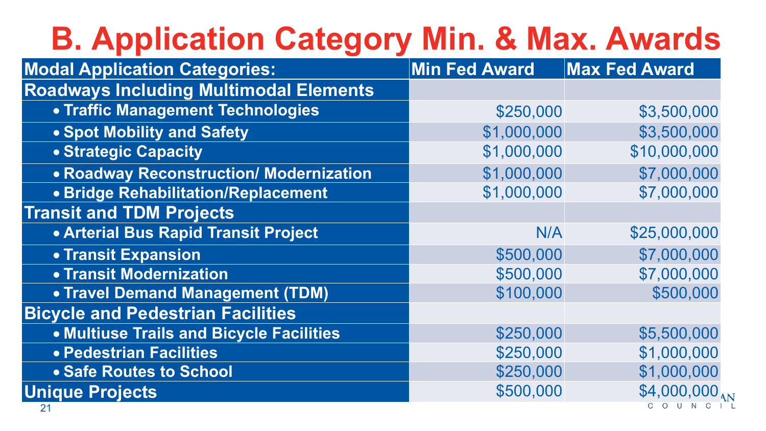# **B. Application Categ**

**Modal Application Categories:** 

**Roadways Including Multimodal Element** 

- **Traffic Management Technologies**
- **Spot Mobility and Safety**
- **Strategic Capacity**
- Roadway Reconstruction/ Modernizatio
- **Bridge Rehabilitation/Replacement**

|    | ory Min. & Max. Awards |                        |
|----|------------------------|------------------------|
|    | <b>Min Fed Award</b>   | Max Fed Award          |
| ts |                        |                        |
|    | \$250,000              | \$3,500,000            |
|    | \$1,000,000            | \$3,500,000            |
|    | \$1,000,000            | \$10,000,000           |
| n  | \$1,000,000            | \$7,000,000            |
|    | \$1,000,000            | \$7,000,000            |
|    |                        |                        |
|    | N/A                    | \$25,000,000           |
|    | \$500,000              | \$7,000,000            |
|    | \$500,000              | \$7,000,000            |
|    | \$100,000              | \$500,000              |
|    |                        |                        |
|    | \$250,000              | \$5,500,000            |
|    | \$250,000              | \$1,000,000            |
|    | \$250,000              | \$1,000,000            |
|    | \$500,000              | \$4,000,000<br>O U N C |



**Transit and TDM Projects**

- **Arterial Bus Rapid Transit Project**
- **Transit Expansion**
- **Transit Modernization**
- **Travel Demand Management (TDM)**

**Bicycle and Pedestrian Facilities**

- **Multiuse Trails and Bicycle Facilities**
- **Pedestrian Facilities**
- **Safe Routes to School**

**Unique Projects**